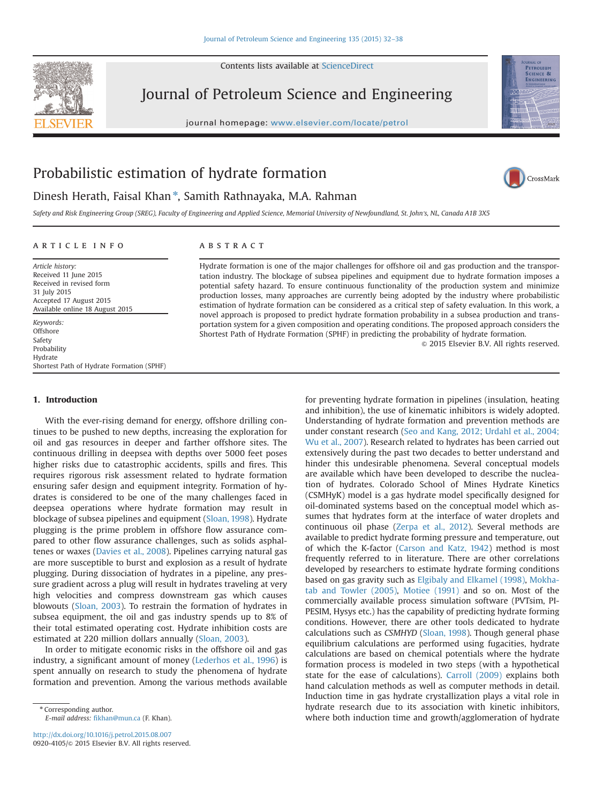Contents lists available at ScienceDirect



Journal of Petroleum Science and Engineering

 $j$ 



## Probabilistic estimation of hydrate formation



Dinesh Herath, Faisal Khan\*, Samith Rathnayaka, M.A. Rahman Safety and Risk Engineering Group (SREG), Faculty of Engineering and Applied Science, Memorial University of Newfoundland, St. John's, NL, Canada A1B 3X5

#### article info

Article history: Received 11 Iune 2015 Received in revised form 31 July 2015 Accepted 17 August 2015 Available online 18 August 2015 Keywords:

Offshore Safety Probability Hydrate Shortest Path of Hydrate Formation (SPHF)

#### 1. Introduction

With the ever-rising demand for energy, offshore drilling continues to be pushed to new depths, increasing the exploration for oil and gas resources in deeper and farther offshore sites. The continuous drilling in deepsea with depths over 5000 feet poses higher risks due to catastrophic accidents, spills and fires. This requires rigorous risk assessment related to hydrate formation ensuring safer design and equipment integrity. Formation of hydrates is considered to be one of the many challenges faced in deepsea operations where hydrate formation may result in blockage of subsea pipelines and equipment ([Sloan, 1998](#page--1-0)). Hydrate plugging is the prime problem in offshore flow assurance compared to other flow assurance challenges, such as solids asphaltenes or waxes ([Davies et al., 2008](#page--1-0)). Pipelines carrying natural gas are more susceptible to burst and explosion as a result of hydrate plugging. During dissociation of hydrates in a pipeline, any pressure gradient across a plug will result in hydrates traveling at very high velocities and compress downstream gas which causes blowouts [\(Sloan, 2003](#page--1-0)). To restrain the formation of hydrates in subsea equipment, the oil and gas industry spends up to 8% of their total estimated operating cost. Hydrate inhibition costs are estimated at 220 million dollars annually ([Sloan, 2003](#page--1-0)).

In order to mitigate economic risks in the offshore oil and gas industry, a significant amount of money ([Lederhos et al., 1996\)](#page--1-0) is spent annually on research to study the phenomena of hydrate formation and prevention. Among the various methods available

\* Corresponding author. E-mail address: fi[khan@mun.ca](mailto:fikhan@mun.ca) (F. Khan).

<http://dx.doi.org/10.1016/j.petrol.2015.08.007> 0920-4105/© 2015 Elsevier B.V. All rights reserved.

#### **ABSTRACT**

Hydrate formation is one of the major challenges for offshore oil and gas production and the transportation industry. The blockage of subsea pipelines and equipment due to hydrate formation imposes a potential safety hazard. To ensure continuous functionality of the production system and minimize production losses, many approaches are currently being adopted by the industry where probabilistic estimation of hydrate formation can be considered as a critical step of safety evaluation. In this work, a novel approach is proposed to predict hydrate formation probability in a subsea production and transportation system for a given composition and operating conditions. The proposed approach considers the Shortest Path of Hydrate Formation (SPHF) in predicting the probability of hydrate formation.

 $\odot$  2015 Elsevier B.V. All rights reserved.

for preventing hydrate formation in pipelines (insulation, heating and inhibition), the use of kinematic inhibitors is widely adopted. Understanding of hydrate formation and prevention methods are under constant research [\(Seo and Kang, 2012; Urdahl et al., 2004;](#page--1-0) [Wu et al., 2007\)](#page--1-0). Research related to hydrates has been carried out extensively during the past two decades to better understand and hinder this undesirable phenomena. Several conceptual models are available which have been developed to describe the nucleation of hydrates. Colorado School of Mines Hydrate Kinetics (CSMHyK) model is a gas hydrate model specifically designed for oil-dominated systems based on the conceptual model which assumes that hydrates form at the interface of water droplets and continuous oil phase ([Zerpa et al., 2012](#page--1-0)). Several methods are available to predict hydrate forming pressure and temperature, out of which the K-factor [\(Carson and Katz, 1942\)](#page--1-0) method is most frequently referred to in literature. There are other correlations developed by researchers to estimate hydrate forming conditions based on gas gravity such as [Elgibaly and Elkamel \(1998\),](#page--1-0) [Mokha](#page--1-0)[tab and Towler \(2005\)](#page--1-0), [Motiee \(1991\)](#page--1-0) and so on. Most of the commercially available process simulation software (PVTsim, PI-PESIM, Hysys etc.) has the capability of predicting hydrate forming conditions. However, there are other tools dedicated to hydrate calculations such as CSMHYD ([Sloan, 1998](#page--1-0)). Though general phase equilibrium calculations are performed using fugacities, hydrate calculations are based on chemical potentials where the hydrate formation process is modeled in two steps (with a hypothetical state for the ease of calculations). [Carroll \(2009\)](#page--1-0) explains both hand calculation methods as well as computer methods in detail. Induction time in gas hydrate crystallization plays a vital role in hydrate research due to its association with kinetic inhibitors, where both induction time and growth/agglomeration of hydrate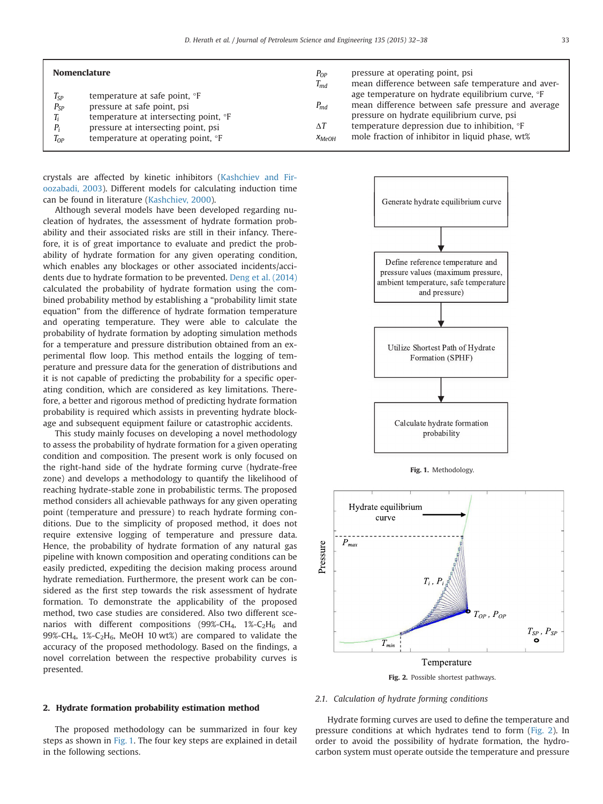| <b>Nomenclature</b>                       |                                                                                                                                                                                    | $P_{OP}$<br>$T_{md}$                 | pressure at operating point, psi<br>mean difference between safe temperature and aver-                                                                                                                                                                 |
|-------------------------------------------|------------------------------------------------------------------------------------------------------------------------------------------------------------------------------------|--------------------------------------|--------------------------------------------------------------------------------------------------------------------------------------------------------------------------------------------------------------------------------------------------------|
| $T_{SP}$<br>$P_{SP}$<br>$P_i$<br>$T_{OP}$ | temperature at safe point, °F<br>pressure at safe point, psi<br>temperature at intersecting point, °F<br>pressure at intersecting point, psi<br>temperature at operating point, °F | $P_{md}$<br>$\wedge T$<br>$X_{MeOH}$ | age temperature on hydrate equilibrium curve, °F<br>mean difference between safe pressure and average<br>pressure on hydrate equilibrium curve, psi<br>temperature depression due to inhibition, °F<br>mole fraction of inhibitor in liquid phase, wt% |

crystals are affected by kinetic inhibitors [\(Kashchiev and Fir](#page--1-0)[oozabadi, 2003](#page--1-0)). Different models for calculating induction time can be found in literature [\(Kashchiev, 2000\)](#page--1-0).

Although several models have been developed regarding nucleation of hydrates, the assessment of hydrate formation probability and their associated risks are still in their infancy. Therefore, it is of great importance to evaluate and predict the probability of hydrate formation for any given operating condition, which enables any blockages or other associated incidents/accidents due to hydrate formation to be prevented. [Deng et al. \(2014\)](#page--1-0) calculated the probability of hydrate formation using the combined probability method by establishing a "probability limit state equation" from the difference of hydrate formation temperature and operating temperature. They were able to calculate the probability of hydrate formation by adopting simulation methods for a temperature and pressure distribution obtained from an experimental flow loop. This method entails the logging of temperature and pressure data for the generation of distributions and it is not capable of predicting the probability for a specific operating condition, which are considered as key limitations. Therefore, a better and rigorous method of predicting hydrate formation probability is required which assists in preventing hydrate blockage and subsequent equipment failure or catastrophic accidents.

This study mainly focuses on developing a novel methodology to assess the probability of hydrate formation for a given operating condition and composition. The present work is only focused on the right-hand side of the hydrate forming curve (hydrate-free zone) and develops a methodology to quantify the likelihood of reaching hydrate-stable zone in probabilistic terms. The proposed method considers all achievable pathways for any given operating point (temperature and pressure) to reach hydrate forming conditions. Due to the simplicity of proposed method, it does not require extensive logging of temperature and pressure data. Hence, the probability of hydrate formation of any natural gas pipeline with known composition and operating conditions can be easily predicted, expediting the decision making process around hydrate remediation. Furthermore, the present work can be considered as the first step towards the risk assessment of hydrate formation. To demonstrate the applicability of the proposed method, two case studies are considered. Also two different scenarios with different compositions (99%-CH<sub>4</sub>,  $1\%$ -C<sub>2</sub>H<sub>6</sub> and 99%-CH<sub>4</sub>, 1%-C<sub>2</sub>H<sub>6</sub>, MeOH 10 wt%) are compared to validate the accuracy of the proposed methodology. Based on the findings, a novel correlation between the respective probability curves is presented.

#### 2. Hydrate formation probability estimation method

The proposed methodology can be summarized in four key steps as shown in Fig. 1. The four key steps are explained in detail in the following sections.







### 2.1. Calculation of hydrate forming conditions

Hydrate forming curves are used to define the temperature and pressure conditions at which hydrates tend to form (Fig. 2). In order to avoid the possibility of hydrate formation, the hydrocarbon system must operate outside the temperature and pressure